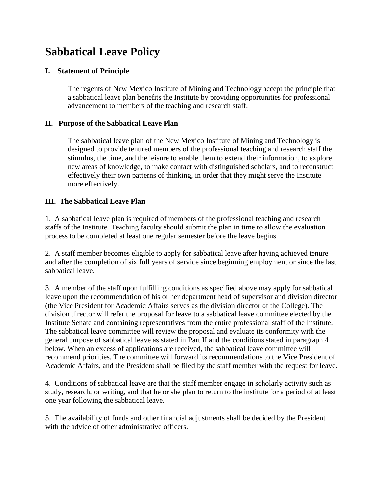# **Sabbatical Leave Policy**

## **I. Statement of Principle**

The regents of New Mexico Institute of Mining and Technology accept the principle that a sabbatical leave plan benefits the Institute by providing opportunities for professional advancement to members of the teaching and research staff.

### **II. Purpose of the Sabbatical Leave Plan**

The sabbatical leave plan of the New Mexico Institute of Mining and Technology is designed to provide tenured members of the professional teaching and research staff the stimulus, the time, and the leisure to enable them to extend their information, to explore new areas of knowledge, to make contact with distinguished scholars, and to reconstruct effectively their own patterns of thinking, in order that they might serve the Institute more effectively.

## **III. The Sabbatical Leave Plan**

1. A sabbatical leave plan is required of members of the professional teaching and research staffs of the Institute. Teaching faculty should submit the plan in time to allow the evaluation process to be completed at least one regular semester before the leave begins.

2. A staff member becomes eligible to apply for sabbatical leave after having achieved tenure and after the completion of six full years of service since beginning employment or since the last sabbatical leave.

3. A member of the staff upon fulfilling conditions as specified above may apply for sabbatical leave upon the recommendation of his or her department head of supervisor and division director (the Vice President for Academic Affairs serves as the division director of the College). The division director will refer the proposal for leave to a sabbatical leave committee elected by the Institute Senate and containing representatives from the entire professional staff of the Institute. The sabbatical leave committee will review the proposal and evaluate its conformity with the general purpose of sabbatical leave as stated in Part II and the conditions stated in paragraph 4 below. When an excess of applications are received, the sabbatical leave committee will recommend priorities. The committee will forward its recommendations to the Vice President of Academic Affairs, and the President shall be filed by the staff member with the request for leave.

4. Conditions of sabbatical leave are that the staff member engage in scholarly activity such as study, research, or writing, and that he or she plan to return to the institute for a period of at least one year following the sabbatical leave.

5. The availability of funds and other financial adjustments shall be decided by the President with the advice of other administrative officers.